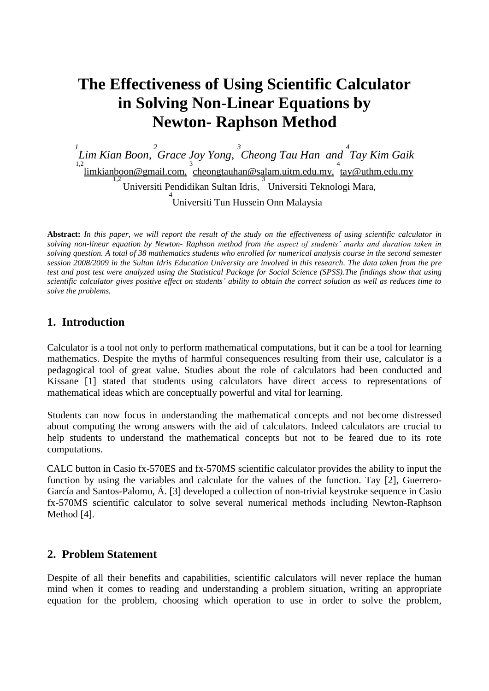# **The Effectiveness of Using Scientific Calculator in Solving Non-Linear Equations by Newton- Raphson Method**

*1 Lim Kian Boon, 2 Grace Joy Yong, 3 Cheong Tau Han and 4 Tay Kim Gaik* <sup>1,2</sup><br>limkianboon@gmail.com, cheongtauhan@salam.uitm.edu.my, tay@uthm.edu.my Universiti Pendidikan Sultan Idris, 3 Universiti Teknologi Mara, 4 Universiti Tun Hussein Onn Malaysia

**Abstract:** *In this paper, we will report the result of the study on the effectiveness of using scientific calculator in solving non-linear equation by Newton- Raphson method from the aspect of students' marks and duration taken in solving question. A total of 38 mathematics students who enrolled for numerical analysis course in the second semester session 2008/2009 in the Sultan Idris Education University are involved in this research. The data taken from the pre test and post test were analyzed using the Statistical Package for Social Science (SPSS).The findings show that using scientific calculator gives positive effect on students' ability to obtain the correct solution as well as reduces time to solve the problems.*

### **1. Introduction**

Calculator is a tool not only to perform mathematical computations, but it can be a tool for learning mathematics. Despite the myths of harmful consequences resulting from their use, calculator is a pedagogical tool of great value. Studies about the role of calculators had been conducted and Kissane [1] stated that students using calculators have direct access to representations of mathematical ideas which are conceptually powerful and vital for learning.

Students can now focus in understanding the mathematical concepts and not become distressed about computing the wrong answers with the aid of calculators. Indeed calculators are crucial to help students to understand the mathematical concepts but not to be feared due to its rote computations.

CALC button in Casio fx-570ES and fx-570MS scientific calculator provides the ability to input the function by using the variables and calculate for the values of the function. Tay [2], Guerrero-García and Santos-Palomo, Á. [3] developed a collection of non-trivial keystroke sequence in Casio fx-570MS scientific calculator to solve several numerical methods including Newton-Raphson Method [4].

### **2. Problem Statement**

Despite of all their benefits and capabilities, scientific calculators will never replace the human mind when it comes to reading and understanding a problem situation, writing an appropriate equation for the problem, choosing which operation to use in order to solve the problem,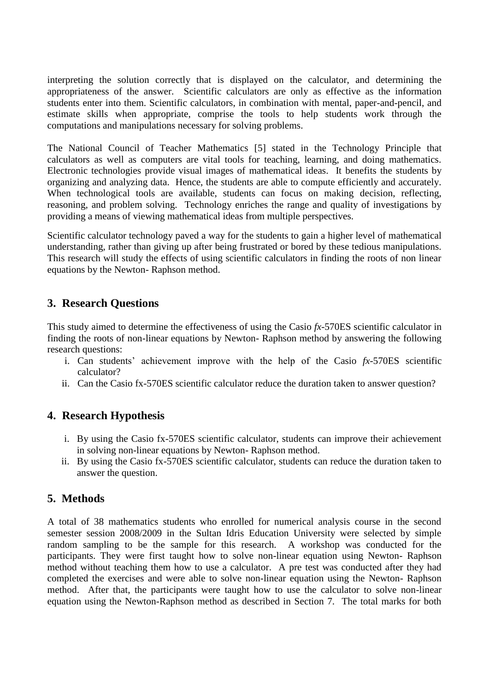interpreting the solution correctly that is displayed on the calculator, and determining the appropriateness of the answer. Scientific calculators are only as effective as the information students enter into them. Scientific calculators, in combination with mental, paper-and-pencil, and estimate skills when appropriate, comprise the tools to help students work through the computations and manipulations necessary for solving problems.

The National Council of Teacher Mathematics [5] stated in the Technology Principle that calculators as well as computers are vital tools for teaching, learning, and doing mathematics. Electronic technologies provide visual images of mathematical ideas. It benefits the students by organizing and analyzing data. Hence, the students are able to compute efficiently and accurately. When technological tools are available, students can focus on making decision, reflecting, reasoning, and problem solving. Technology enriches the range and quality of investigations by providing a means of viewing mathematical ideas from multiple perspectives.

Scientific calculator technology paved a way for the students to gain a higher level of mathematical understanding, rather than giving up after being frustrated or bored by these tedious manipulations. This research will study the effects of using scientific calculators in finding the roots of non linear equations by the Newton- Raphson method.

# **3. Research Questions**

This study aimed to determine the effectiveness of using the Casio *fx*-570ES scientific calculator in finding the roots of non-linear equations by Newton- Raphson method by answering the following research questions:

- i. Can students' achievement improve with the help of the Casio *fx*-570ES scientific calculator?
- ii. Can the Casio fx-570ES scientific calculator reduce the duration taken to answer question?

# **4. Research Hypothesis**

- i. By using the Casio fx-570ES scientific calculator, students can improve their achievement in solving non-linear equations by Newton- Raphson method.
- ii. By using the Casio fx-570ES scientific calculator, students can reduce the duration taken to answer the question.

# **5. Methods**

A total of 38 mathematics students who enrolled for numerical analysis course in the second semester session 2008/2009 in the Sultan Idris Education University were selected by simple random sampling to be the sample for this research. A workshop was conducted for the participants. They were first taught how to solve non-linear equation using Newton- Raphson method without teaching them how to use a calculator. A pre test was conducted after they had completed the exercises and were able to solve non-linear equation using the Newton- Raphson method. After that, the participants were taught how to use the calculator to solve non-linear equation using the Newton-Raphson method as described in Section 7. The total marks for both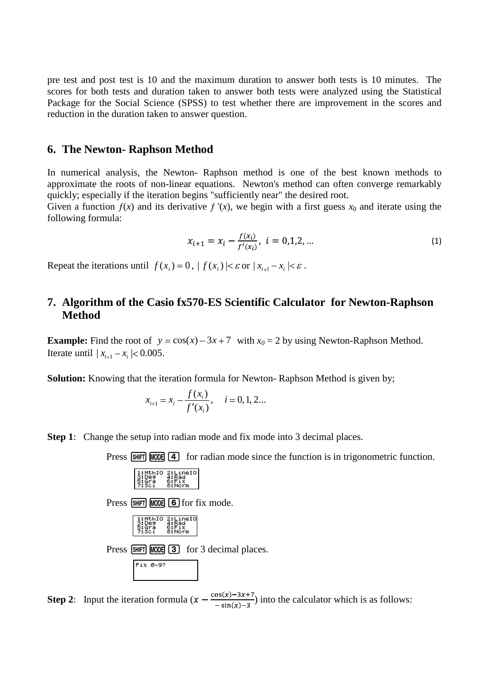pre test and post test is 10 and the maximum duration to answer both tests is 10 minutes. The scores for both tests and duration taken to answer both tests were analyzed using the Statistical Package for the Social Science (SPSS) to test whether there are improvement in the scores and reduction in the duration taken to answer question.

#### **6. The Newton- Raphson Method**

In numerical analysis, the Newton- Raphson method is one of the best known methods to approximate the roots of non-linear equations. Newton's method can often converge remarkably quickly; especially if the iteration begins "sufficiently near" the desired root.

Given a function  $f(x)$  and its derivative  $f'(x)$ , we begin with a first guess  $x_0$  and iterate using the following formula:

$$
x_{i+1} = x_i - \frac{f(x_i)}{f'(x_i)}, \ i = 0, 1, 2, \dots
$$
 (1)

Repeat the iterations until  $f(x_i) = 0$ ,  $|f(x_i)| < \varepsilon$  or  $|x_{i+1} - x_i| < \varepsilon$ .

# **7. Algorithm of the Casio fx570-ES Scientific Calculator for Newton-Raphson Method**

**Example:** Find the root of  $y = cos(x) - 3x + 7$  with  $x_0 = 2$  by using Newton-Raphson Method. Iterate until  $|x_{i+1} - x_i| < 0.005$ .

**Solution:** Knowing that the iteration formula for Newton- Raphson Method is given by;

$$
x_{i+1} = x_i - \frac{f(x_i)}{f'(x_i)}, \quad i = 0, 1, 2...
$$

**Step 1:** Change the setup into radian mode and fix mode into 3 decimal places.

Press  $\boxed{\text{SHT}}$   $\boxed{\text{MODE}}$   $\boxed{4}$  for radian mode since the function is in trigonometric function.

|          | MthIO 2:LineIO<br>Dea   4:Rad<br>Gra   6:Fix<br>Sci   8:Norm         |                                          |
|----------|----------------------------------------------------------------------|------------------------------------------|
|          |                                                                      | Press [SHIFT] MODE] 6 for fix mode.      |
|          | 1:MthIO 2:LineIO<br>3:De9   4:Rad<br>5:Gra   6:Fix<br>7:Sci   8:Norm |                                          |
|          |                                                                      | Press SHIFT MODE 3 for 3 decimal places. |
| Fix 0~9? |                                                                      |                                          |

**Step 2:** Input the iteration formula  $(x - \frac{\cos(x)-3x+7}{-\sin(x)-3})$  into the calculator which is as follows: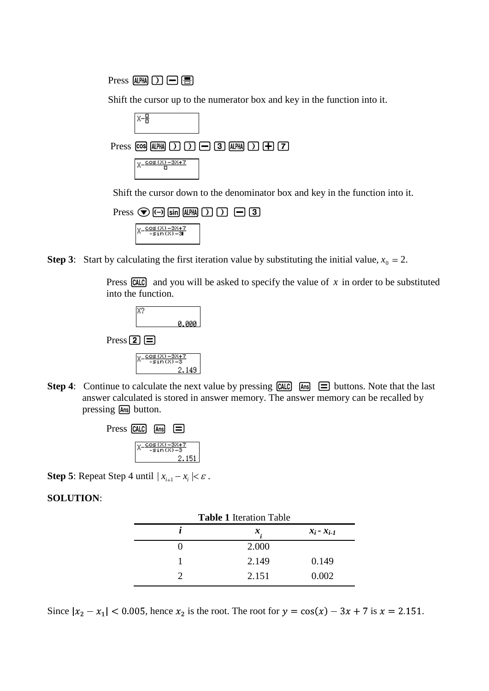Press  $\mathbb{A}\mathbb{H}\mathbb{I}$   $\Box$   $\Box$   $\Box$ 

Shift the cursor up to the numerator box and key in the function into it.



Shift the cursor down to the denominator box and key in the function into it.



**Step 3**: Start by calculating the first iteration value by substituting the initial value,  $x_0 = 2$ .

Press  $\boxed{CALC}$  and you will be asked to specify the value of x in order to be substituted into the function.



**Step 4:** Continue to calculate the next value by pressing  $\boxed{\text{CALC}}$   $\boxed{\text{Ans}}$   $\boxed{\equiv}$  buttons. Note that the last answer calculated is stored in answer memory. The answer memory can be recalled by pressing Ans button.



**Step 5:** Repeat Step 4 until  $|x_{i+1} - x_i| < \varepsilon$ .

**SOLUTION**:

| <b>Table 1 Iteration Table</b> |       |                 |  |  |
|--------------------------------|-------|-----------------|--|--|
|                                | x     | $x_i - x_{i-1}$ |  |  |
|                                | 2.000 |                 |  |  |
|                                | 2.149 | 0.149           |  |  |
|                                | 2.151 | 0.002           |  |  |

Since  $|x_2 - x_1|$  < 0.005, hence  $x_2$  is the root. The root for  $y = cos(x) - 3x + 7$  is  $x = 2.151$ .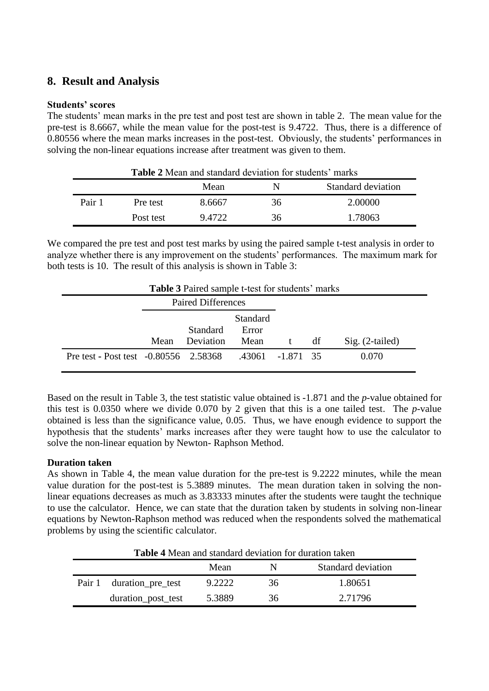### **8. Result and Analysis**

#### **Students' scores**

The students' mean marks in the pre test and post test are shown in table 2. The mean value for the pre-test is 8.6667, while the mean value for the post-test is 9.4722. Thus, there is a difference of 0.80556 where the mean marks increases in the post-test. Obviously, the students' performances in solving the non-linear equations increase after treatment was given to them.

| <b>Table 2</b> Mean and standard deviation for students' marks |                                 |        |    |         |  |  |
|----------------------------------------------------------------|---------------------------------|--------|----|---------|--|--|
|                                                                | Standard deviation<br>Mean<br>N |        |    |         |  |  |
| Pair 1                                                         | Pre test                        | 8.6667 | 36 | 2.00000 |  |  |
|                                                                | Post test                       | 9.4722 | 36 | 1.78063 |  |  |

We compared the pre test and post test marks by using the paired sample t-test analysis in order to analyze whether there is any improvement on the students' performances. The maximum mark for both tests is 10. The result of this analysis is shown in Table 3:

| <b>Table 3</b> Paired sample t-test for students' marks |                    |                 |          |   |    |                   |
|---------------------------------------------------------|--------------------|-----------------|----------|---|----|-------------------|
|                                                         | Paired Differences |                 |          |   |    |                   |
|                                                         |                    |                 | Standard |   |    |                   |
|                                                         |                    | <b>Standard</b> | Error    |   |    |                   |
|                                                         | Mean               | Deviation       | Mean     | t | df | $Sig. (2-tailed)$ |
| Pre test - Post test -0.80556 2.58368 .43061 -1.871 35  |                    |                 |          |   |    | 0.070             |

Based on the result in Table 3, the test statistic value obtained is -1.871 and the *p-*value obtained for this test is 0.0350 where we divide 0.070 by 2 given that this is a one tailed test. The *p-*value obtained is less than the significance value, 0.05. Thus, we have enough evidence to support the hypothesis that the students' marks increases after they were taught how to use the calculator to solve the non-linear equation by Newton- Raphson Method.

#### **Duration taken**

As shown in Table 4, the mean value duration for the pre-test is 9.2222 minutes, while the mean value duration for the post-test is 5.3889 minutes. The mean duration taken in solving the nonlinear equations decreases as much as 3.83333 minutes after the students were taught the technique to use the calculator. Hence, we can state that the duration taken by students in solving non-linear equations by Newton-Raphson method was reduced when the respondents solved the mathematical problems by using the scientific calculator.

| <b>Table 4</b> Mean and standard deviation for duration taken |                                 |        |    |         |  |  |
|---------------------------------------------------------------|---------------------------------|--------|----|---------|--|--|
|                                                               | Standard deviation<br>Mean<br>N |        |    |         |  |  |
|                                                               | Pair 1 duration_pre_test        | 9.2222 | 36 | 1.80651 |  |  |
|                                                               | duration_post_test              | 5.3889 | 36 | 2.71796 |  |  |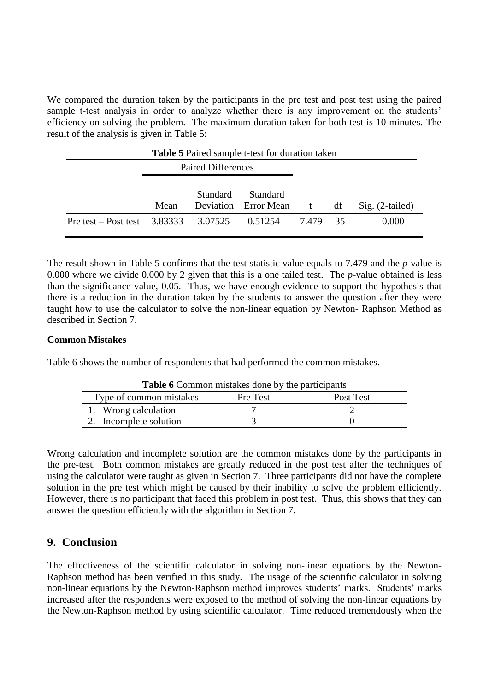We compared the duration taken by the participants in the pre test and post test using the paired sample t-test analysis in order to analyze whether there is any improvement on the students' efficiency on solving the problem. The maximum duration taken for both test is 10 minutes. The result of the analysis is given in Table 5:

| <b>Table 5</b> Paired sample t-test for duration taken |                    |          |                                  |          |    |                   |
|--------------------------------------------------------|--------------------|----------|----------------------------------|----------|----|-------------------|
|                                                        | Paired Differences |          |                                  |          |    |                   |
|                                                        | Mean               | Standard | Standard<br>Deviation Error Mean | t        | df | $Sig. (2-tailed)$ |
| Pre test – Post test 3.83333                           |                    | 3.07525  | 0.51254                          | 7.479 35 |    | 0.000             |

The result shown in Table 5 confirms that the test statistic value equals to 7.479 and the *p-*value is 0.000 where we divide 0.000 by 2 given that this is a one tailed test. The *p-*value obtained is less than the significance value, 0.05. Thus, we have enough evidence to support the hypothesis that there is a reduction in the duration taken by the students to answer the question after they were taught how to use the calculator to solve the non-linear equation by Newton- Raphson Method as described in Section 7.

#### **Common Mistakes**

Table 6 shows the number of respondents that had performed the common mistakes.

| <b>Table 6</b> Common mistakes done by the participants |  |  |  |  |  |
|---------------------------------------------------------|--|--|--|--|--|
| Type of common mistakes<br>Pre Test<br>Post Test        |  |  |  |  |  |
| 1. Wrong calculation                                    |  |  |  |  |  |
| 2. Incomplete solution                                  |  |  |  |  |  |

Wrong calculation and incomplete solution are the common mistakes done by the participants in the pre-test. Both common mistakes are greatly reduced in the post test after the techniques of using the calculator were taught as given in Section 7. Three participants did not have the complete solution in the pre test which might be caused by their inability to solve the problem efficiently. However, there is no participant that faced this problem in post test. Thus, this shows that they can answer the question efficiently with the algorithm in Section 7.

### **9. Conclusion**

The effectiveness of the scientific calculator in solving non-linear equations by the Newton-Raphson method has been verified in this study. The usage of the scientific calculator in solving non-linear equations by the Newton-Raphson method improves students' marks. Students' marks increased after the respondents were exposed to the method of solving the non-linear equations by the Newton-Raphson method by using scientific calculator. Time reduced tremendously when the